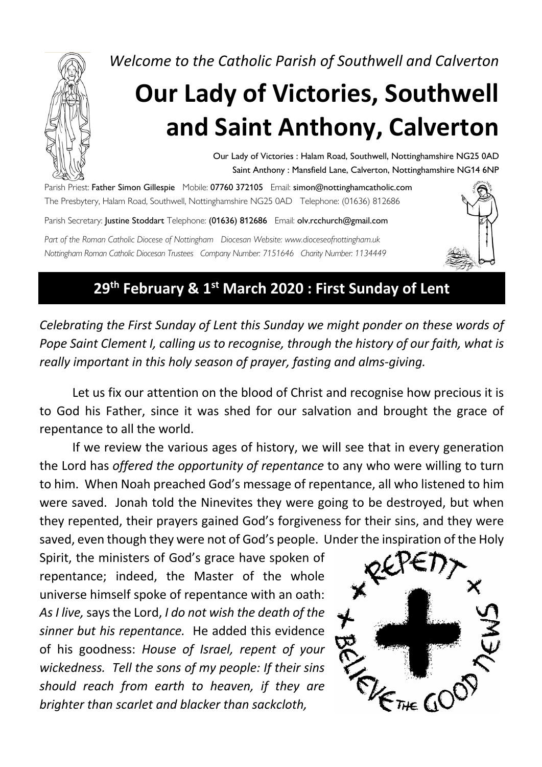*Welcome to the Catholic Parish of Southwell and Calverton*

# **Our Lady of Victories, Southwell and Saint Anthony, Calverton**

Our Lady of Victories : Halam Road, Southwell, Nottinghamshire NG25 0AD Saint Anthony : Mansfield Lane, Calverton, Nottinghamshire NG14 6NP

Parish Priest: Father Simon Gillespie Mobile: 07760 372105 Email: simon@nottinghamcatholic.com The Presbytery, Halam Road, Southwell, Nottinghamshire NG25 0AD Telephone: (01636) 812686

Parish Secretary: Justine Stoddart Telephone: (01636) 812686 Email: olv.rcchurch@gmail.com

*Part of the Roman Catholic Diocese of Nottingham Diocesan Website: www.dioceseofnottingham.uk Nottingham Roman Catholic Diocesan Trustees Company Number: 7151646 Charity Number: 1134449*



## **29th February & 1st March 2020 : First Sunday of Lent**

*Celebrating the First Sunday of Lent this Sunday we might ponder on these words of Pope Saint Clement I, calling us to recognise, through the history of our faith, what is really important in this holy season of prayer, fasting and alms-giving.*

Let us fix our attention on the blood of Christ and recognise how precious it is to God his Father, since it was shed for our salvation and brought the grace of repentance to all the world.

If we review the various ages of history, we will see that in every generation the Lord has *offered the opportunity of repentance* to any who were willing to turn to him. When Noah preached God's message of repentance, all who listened to him were saved. Jonah told the Ninevites they were going to be destroyed, but when they repented, their prayers gained God's forgiveness for their sins, and they were saved, even though they were not of God's people. Under the inspiration of the Holy

Spirit, the ministers of God's grace have spoken of repentance; indeed, the Master of the whole universe himself spoke of repentance with an oath: *As I live,*says the Lord, *I do not wish the death of the sinner but his repentance.* He added this evidence of his goodness: *House of Israel, repent of your wickedness. Tell the sons of my people: If their sins should reach from earth to heaven, if they are brighter than scarlet and blacker than sackcloth,*

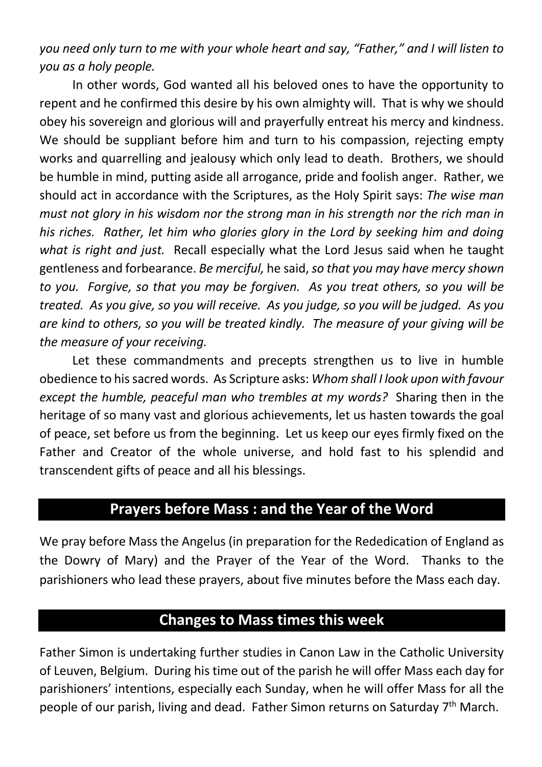*you need only turn to me with your whole heart and say, "Father," and I will listen to you as a holy people.*

In other words, God wanted all his beloved ones to have the opportunity to repent and he confirmed this desire by his own almighty will. That is why we should obey his sovereign and glorious will and prayerfully entreat his mercy and kindness. We should be suppliant before him and turn to his compassion, rejecting empty works and quarrelling and jealousy which only lead to death. Brothers, we should be humble in mind, putting aside all arrogance, pride and foolish anger. Rather, we should act in accordance with the Scriptures, as the Holy Spirit says: *The wise man must not glory in his wisdom nor the strong man in his strength nor the rich man in his riches. Rather, let him who glories glory in the Lord by seeking him and doing what is right and just.* Recall especially what the Lord Jesus said when he taught gentleness and forbearance. *Be merciful,* he said,*so that you may have mercy shown to you. Forgive, so that you may be forgiven. As you treat others, so you will be treated. As you give, so you will receive. As you judge, so you will be judged. As you are kind to others, so you will be treated kindly. The measure of your giving will be the measure of your receiving.*

Let these commandments and precepts strengthen us to live in humble obedience to his sacred words. As Scripture asks: *Whom shall I look upon with favour except the humble, peaceful man who trembles at my words?* Sharing then in the heritage of so many vast and glorious achievements, let us hasten towards the goal of peace, set before us from the beginning. Let us keep our eyes firmly fixed on the Father and Creator of the whole universe, and hold fast to his splendid and transcendent gifts of peace and all his blessings.

# **Prayers before Mass : and the Year of the Word**

We pray before Mass the Angelus (in preparation for the Rededication of England as the Dowry of Mary) and the Prayer of the Year of the Word. Thanks to the parishioners who lead these prayers, about five minutes before the Mass each day.

#### **Changes to Mass times this week**

Father Simon is undertaking further studies in Canon Law in the Catholic University of Leuven, Belgium. During his time out of the parish he will offer Mass each day for parishioners' intentions, especially each Sunday, when he will offer Mass for all the people of our parish, living and dead. Father Simon returns on Saturday 7<sup>th</sup> March.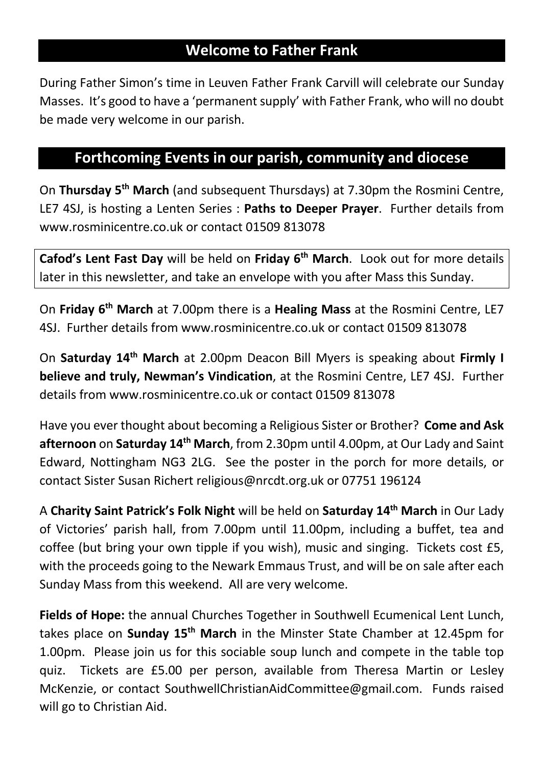## **Welcome to Father Frank**

During Father Simon's time in Leuven Father Frank Carvill will celebrate our Sunday Masses. It's good to have a 'permanent supply' with Father Frank, who will no doubt be made very welcome in our parish.

#### **Forthcoming Events in our parish, community and diocese**

On **Thursday 5th March** (and subsequent Thursdays) at 7.30pm the Rosmini Centre, LE7 4SJ, is hosting a Lenten Series : **Paths to Deeper Prayer**. Further details from www.rosminicentre.co.uk or contact 01509 813078

**Cafod's Lent Fast Day** will be held on **Friday 6th March**. Look out for more details later in this newsletter, and take an envelope with you after Mass this Sunday.

On **Friday 6th March** at 7.00pm there is a **Healing Mass** at the Rosmini Centre, LE7 4SJ. Further details from www.rosminicentre.co.uk or contact 01509 813078

On **Saturday 14th March** at 2.00pm Deacon Bill Myers is speaking about **Firmly I believe and truly, Newman's Vindication**, at the Rosmini Centre, LE7 4SJ. Further details from www.rosminicentre.co.uk or contact 01509 813078

Have you ever thought about becoming a Religious Sister or Brother? **Come and Ask afternoon** on **Saturday 14th March**, from 2.30pm until 4.00pm, at Our Lady and Saint Edward, Nottingham NG3 2LG. See the poster in the porch for more details, or contact Sister Susan Richert religious@nrcdt.org.uk or 07751 196124

A **Charity Saint Patrick's Folk Night** will be held on **Saturday 14th March** in Our Lady of Victories' parish hall, from 7.00pm until 11.00pm, including a buffet, tea and coffee (but bring your own tipple if you wish), music and singing. Tickets cost £5, with the proceeds going to the Newark Emmaus Trust, and will be on sale after each Sunday Mass from this weekend. All are very welcome.

**Fields of Hope:** the annual Churches Together in Southwell Ecumenical Lent Lunch, takes place on **Sunday 15th March** in the Minster State Chamber at 12.45pm for 1.00pm. Please join us for this sociable soup lunch and compete in the table top quiz. Tickets are £5.00 per person, available from Theresa Martin or Lesley McKenzie, or contact SouthwellChristianAidCommittee@gmail.com. Funds raised will go to Christian Aid.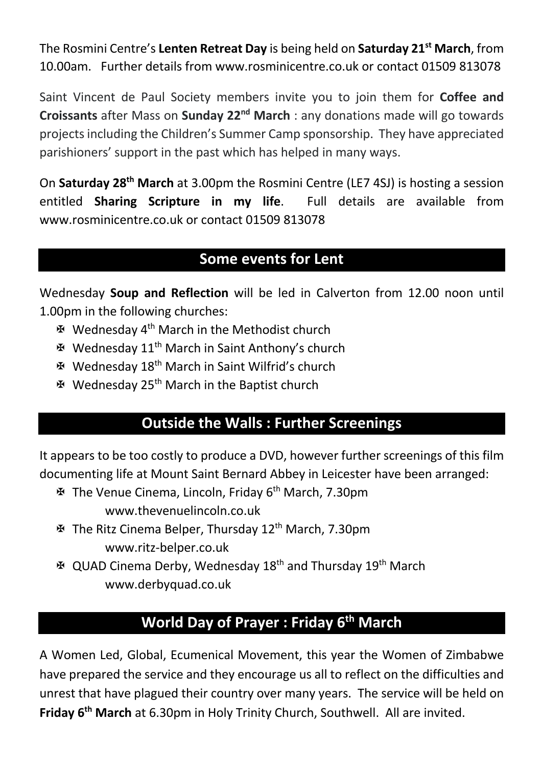The Rosmini Centre's **Lenten Retreat Day** is being held on **Saturday 21st March**, from 10.00am. Further details from www.rosminicentre.co.uk or contact 01509 813078

Saint Vincent de Paul Society members invite you to join them for **Coffee and Croissants** after Mass on **Sunday 22nd March** : any donations made will go towards projects including the Children's Summer Camp sponsorship. They have appreciated parishioners' support in the past which has helped in many ways.

On **Saturday 28th March** at 3.00pm the Rosmini Centre (LE7 4SJ) is hosting a session entitled **Sharing Scripture in my life**. Full details are available from www.rosminicentre.co.uk or contact 01509 813078

#### **Some events for Lent**

Wednesday **Soup and Reflection** will be led in Calverton from 12.00 noon until 1.00pm in the following churches:

- X Wednesday 4th March in the Methodist church
- $\mathbf{\Psi}$  Wednesday 11<sup>th</sup> March in Saint Anthony's church
- X Wednesday 18th March in Saint Wilfrid's church
- $\mathbf{\Psi}$  Wednesday 25<sup>th</sup> March in the Baptist church

# **Outside the Walls : Further Screenings**

It appears to be too costly to produce a DVD, however further screenings of this film documenting life at Mount Saint Bernard Abbey in Leicester have been arranged:

- X The Venue Cinema, Lincoln, Friday 6th March, 7.30pm www.thevenuelincoln.co.uk
- X The Ritz Cinema Belper, Thursday 12th March, 7.30pm www.ritz-belper.co.uk
- X QUAD Cinema Derby, Wednesday 18th and Thursday 19th March www.derbyquad.co.uk

# **World Day of Prayer : Friday 6th March**

A Women Led, Global, Ecumenical Movement, this year the Women of Zimbabwe have prepared the service and they encourage us all to reflect on the difficulties and unrest that have plagued their country over many years. The service will be held on **Friday 6th March** at 6.30pm in Holy Trinity Church, Southwell. All are invited.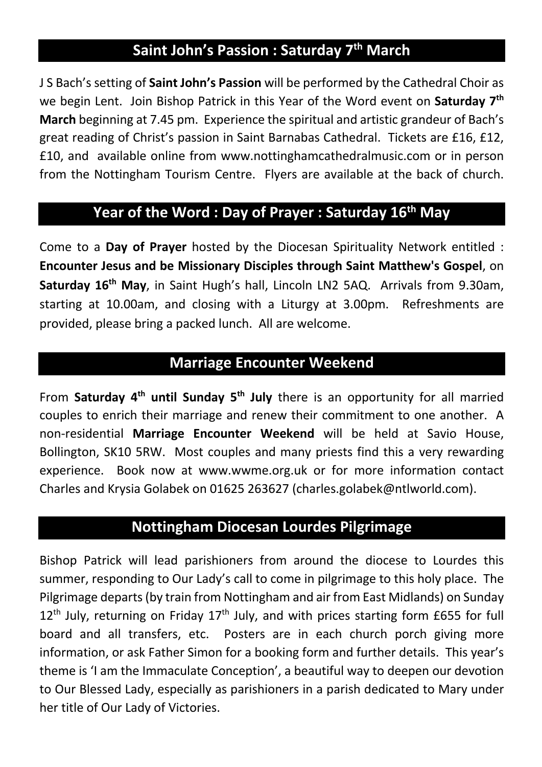## **Saint John's Passion : Saturday 7th March**

J S Bach's setting of **Saint John's Passion** will be performed by the Cathedral Choir as we begin Lent. Join Bishop Patrick in this Year of the Word event on **Saturday 7th March** beginning at 7.45 pm. Experience the spiritual and artistic grandeur of Bach's great reading of Christ's passion in Saint Barnabas Cathedral. Tickets are £16, £12, £10, and available online from www.nottinghamcathedralmusic.com or in person from the Nottingham Tourism Centre. Flyers are available at the back of church.

# **Year of the Word : Day of Prayer : Saturday 16th May**

Come to a **Day of Prayer** hosted by the Diocesan Spirituality Network entitled : **Encounter Jesus and be Missionary Disciples through Saint Matthew's Gospel**, on **Saturday 16th May**, in Saint Hugh's hall, Lincoln LN2 5AQ. Arrivals from 9.30am, starting at 10.00am, and closing with a Liturgy at 3.00pm. Refreshments are provided, please bring a packed lunch. All are welcome.

#### **Marriage Encounter Weekend**

From **Saturday 4th until Sunday 5th July** there is an opportunity for all married couples to enrich their marriage and renew their commitment to one another. A non-residential **Marriage Encounter Weekend** will be held at Savio House, Bollington, SK10 5RW. Most couples and many priests find this a very rewarding experience. Book now at www.wwme.org.uk or for more information contact Charles and Krysia Golabek on 01625 263627 (charles.golabek@ntlworld.com).

#### **Nottingham Diocesan Lourdes Pilgrimage**

Bishop Patrick will lead parishioners from around the diocese to Lourdes this summer, responding to Our Lady's call to come in pilgrimage to this holy place. The Pilgrimage departs (by train from Nottingham and air from East Midlands) on Sunday  $12<sup>th</sup>$  July, returning on Friday  $17<sup>th</sup>$  July, and with prices starting form £655 for full board and all transfers, etc. Posters are in each church porch giving more information, or ask Father Simon for a booking form and further details. This year's theme is 'I am the Immaculate Conception', a beautiful way to deepen our devotion to Our Blessed Lady, especially as parishioners in a parish dedicated to Mary under her title of Our Lady of Victories.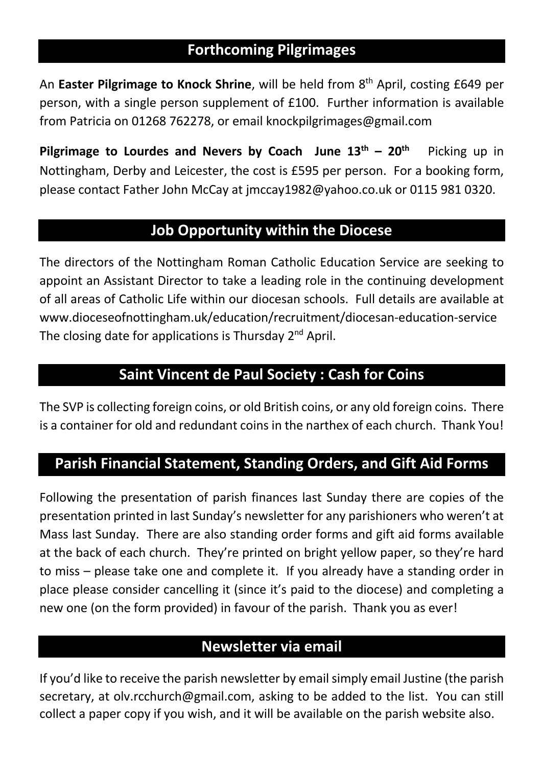# **Forthcoming Pilgrimages**

An **Easter Pilgrimage to Knock Shrine**, will be held from 8th April, costing £649 per person, with a single person supplement of £100. Further information is available from Patricia on 01268 762278, or email knockpilgrimages@gmail.com

**Pilgrimage to Lourdes and Nevers by Coach June**  $13<sup>th</sup> - 20<sup>th</sup>$  **Picking up in** Nottingham, Derby and Leicester, the cost is £595 per person. For a booking form, please contact Father John McCay at jmccay1982@yahoo.co.uk or 0115 981 0320.

#### **Job Opportunity within the Diocese**

The directors of the Nottingham Roman Catholic Education Service are seeking to appoint an Assistant Director to take a leading role in the continuing development of all areas of Catholic Life within our diocesan schools. Full details are available at www.dioceseofnottingham.uk/education/recruitment/diocesan-education-service The closing date for applications is Thursday  $2^{nd}$  April.

#### **Saint Vincent de Paul Society : Cash for Coins**

The SVP is collecting foreign coins, or old British coins, or any old foreign coins. There is a container for old and redundant coins in the narthex of each church. Thank You!

#### **Parish Financial Statement, Standing Orders, and Gift Aid Forms**

Following the presentation of parish finances last Sunday there are copies of the presentation printed in last Sunday's newsletter for any parishioners who weren't at Mass last Sunday. There are also standing order forms and gift aid forms available at the back of each church. They're printed on bright yellow paper, so they're hard to miss – please take one and complete it. If you already have a standing order in place please consider cancelling it (since it's paid to the diocese) and completing a new one (on the form provided) in favour of the parish. Thank you as ever!

#### **Newsletter via email**

If you'd like to receive the parish newsletter by email simply email Justine (the parish secretary, at olv.rcchurch@gmail.com, asking to be added to the list. You can still collect a paper copy if you wish, and it will be available on the parish website also.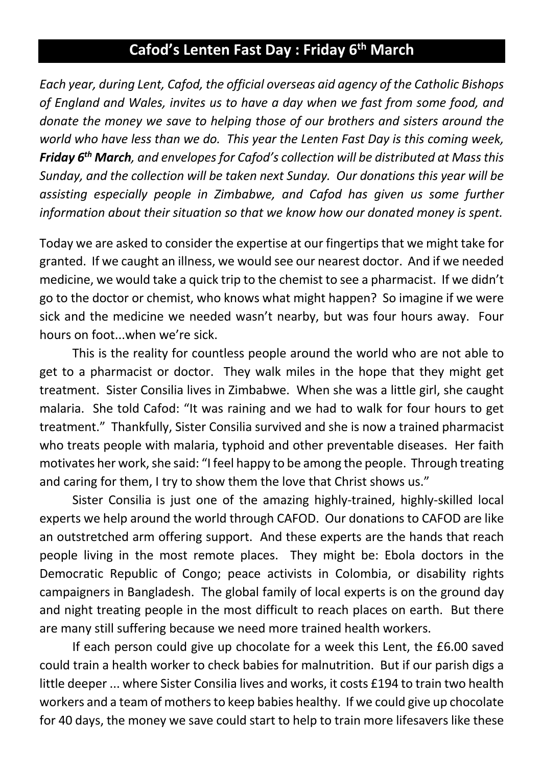# **Cafod's Lenten Fast Day : Friday 6th March**

*Each year, during Lent, Cafod, the official overseas aid agency of the Catholic Bishops of England and Wales, invites us to have a day when we fast from some food, and donate the money we save to helping those of our brothers and sisters around the world who have less than we do. This year the Lenten Fast Day is this coming week, Friday 6th March, and envelopes for Cafod's collection will be distributed at Mass this Sunday, and the collection will be taken next Sunday. Our donations this year will be assisting especially people in Zimbabwe, and Cafod has given us some further information about their situation so that we know how our donated money is spent.*

Today we are asked to consider the expertise at our fingertips that we might take for granted. If we caught an illness, we would see our nearest doctor. And if we needed medicine, we would take a quick trip to the chemist to see a pharmacist. If we didn't go to the doctor or chemist, who knows what might happen? So imagine if we were sick and the medicine we needed wasn't nearby, but was four hours away. Four hours on foot...when we're sick.

This is the reality for countless people around the world who are not able to get to a pharmacist or doctor. They walk miles in the hope that they might get treatment. Sister Consilia lives in Zimbabwe. When she was a little girl, she caught malaria. She told Cafod: "It was raining and we had to walk for four hours to get treatment." Thankfully, Sister Consilia survived and she is now a trained pharmacist who treats people with malaria, typhoid and other preventable diseases. Her faith motivates her work, she said: "I feel happy to be among the people. Through treating and caring for them, I try to show them the love that Christ shows us."

Sister Consilia is just one of the amazing highly-trained, highly-skilled local experts we help around the world through CAFOD. Our donations to CAFOD are like an outstretched arm offering support. And these experts are the hands that reach people living in the most remote places. They might be: Ebola doctors in the Democratic Republic of Congo; peace activists in Colombia, or disability rights campaigners in Bangladesh. The global family of local experts is on the ground day and night treating people in the most difficult to reach places on earth. But there are many still suffering because we need more trained health workers.

If each person could give up chocolate for a week this Lent, the £6.00 saved could train a health worker to check babies for malnutrition. But if our parish digs a little deeper ... where Sister Consilia lives and works, it costs £194 to train two health workers and a team of mothers to keep babies healthy. If we could give up chocolate for 40 days, the money we save could start to help to train more lifesavers like these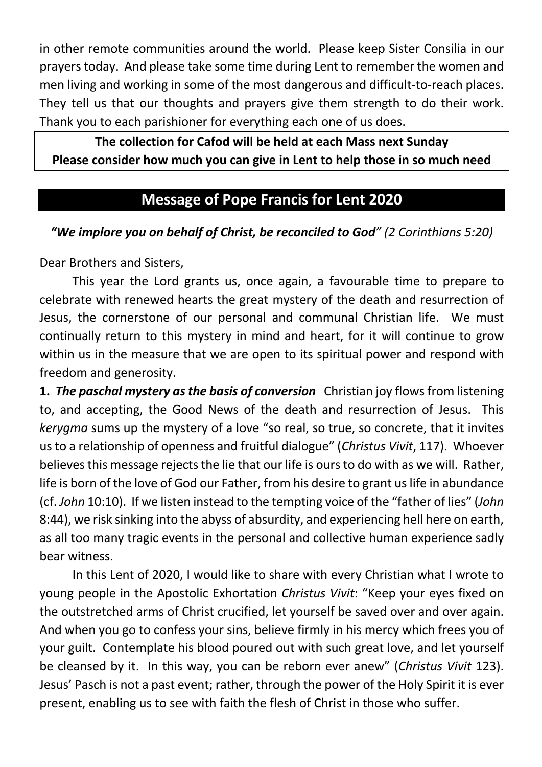in other remote communities around the world. Please keep Sister Consilia in our prayers today. And please take some time during Lent to remember the women and men living and working in some of the most dangerous and difficult-to-reach places. They tell us that our thoughts and prayers give them strength to do their work. Thank you to each parishioner for everything each one of us does.

**The collection for Cafod will be held at each Mass next Sunday Please consider how much you can give in Lent to help those in so much need**

## **Message of Pope Francis for Lent 2020**

#### *"We implore you on behalf of Christ, be reconciled to God" (2 Corinthians 5:20)*

Dear Brothers and Sisters,

This year the Lord grants us, once again, a favourable time to prepare to celebrate with renewed hearts the great mystery of the death and resurrection of Jesus, the cornerstone of our personal and communal Christian life. We must continually return to this mystery in mind and heart, for it will continue to grow within us in the measure that we are open to its spiritual power and respond with freedom and generosity.

**1.** *The paschal mystery as the basis of conversion* Christian joy flows from listening to, and accepting, the Good News of the death and resurrection of Jesus. This *kerygma* sums up the mystery of a love "so real, so true, so concrete, that it invites us to a relationship of openness and fruitful dialogue" (*Christus Vivit*, 117). Whoever believes this message rejects the lie that our life is ours to do with as we will. Rather, life is born of the love of God our Father, from his desire to grant us life in abundance (cf. *John* 10:10). If we listen instead to the tempting voice of the "father of lies" (*John*  8:44), we risk sinking into the abyss of absurdity, and experiencing hell here on earth, as all too many tragic events in the personal and collective human experience sadly bear witness.

In this Lent of 2020, I would like to share with every Christian what I wrote to young people in the Apostolic Exhortation *Christus Vivit*: "Keep your eyes fixed on the outstretched arms of Christ crucified, let yourself be saved over and over again. And when you go to confess your sins, believe firmly in his mercy which frees you of your guilt. Contemplate his blood poured out with such great love, and let yourself be cleansed by it. In this way, you can be reborn ever anew" (*Christus Vivit* 123). Jesus' Pasch is not a past event; rather, through the power of the Holy Spirit it is ever present, enabling us to see with faith the flesh of Christ in those who suffer.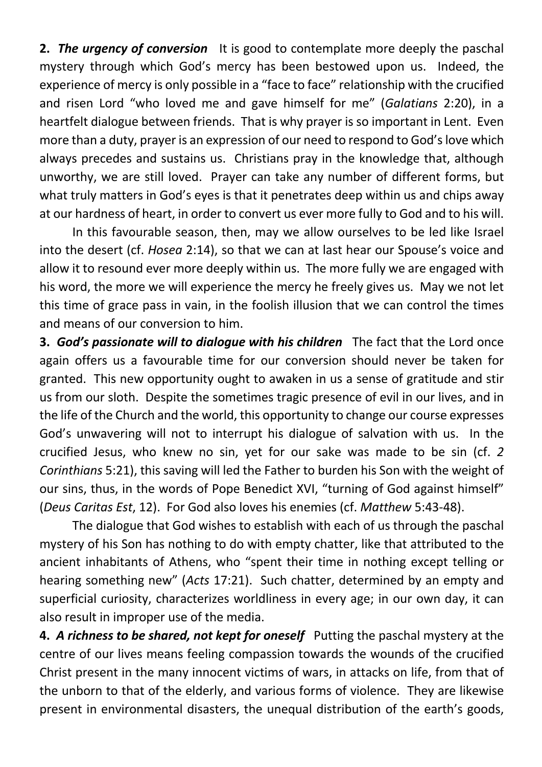**2.** *The urgency of conversion* It is good to contemplate more deeply the paschal mystery through which God's mercy has been bestowed upon us. Indeed, the experience of mercy is only possible in a "face to face" relationship with the crucified and risen Lord "who loved me and gave himself for me" (*Galatians* 2:20), in a heartfelt dialogue between friends. That is why prayer is so important in Lent. Even more than a duty, prayer is an expression of our need to respond to God's love which always precedes and sustains us. Christians pray in the knowledge that, although unworthy, we are still loved. Prayer can take any number of different forms, but what truly matters in God's eyes is that it penetrates deep within us and chips away at our hardness of heart, in order to convert us ever more fully to God and to his will.

In this favourable season, then, may we allow ourselves to be led like Israel into the desert (cf. *Hosea* 2:14), so that we can at last hear our Spouse's voice and allow it to resound ever more deeply within us. The more fully we are engaged with his word, the more we will experience the mercy he freely gives us. May we not let this time of grace pass in vain, in the foolish illusion that we can control the times and means of our conversion to him.

**3.** *God's passionate will to dialogue with his children* The fact that the Lord once again offers us a favourable time for our conversion should never be taken for granted. This new opportunity ought to awaken in us a sense of gratitude and stir us from our sloth. Despite the sometimes tragic presence of evil in our lives, and in the life of the Church and the world, this opportunity to change our course expresses God's unwavering will not to interrupt his dialogue of salvation with us. In the crucified Jesus, who knew no sin, yet for our sake was made to be sin (cf. *2 Corinthians* 5:21), this saving will led the Father to burden his Son with the weight of our sins, thus, in the words of Pope Benedict XVI, "turning of God against himself" (*Deus Caritas Est*, 12). For God also loves his enemies (cf. *Matthew* 5:43-48).

The dialogue that God wishes to establish with each of us through the paschal mystery of his Son has nothing to do with empty chatter, like that attributed to the ancient inhabitants of Athens, who "spent their time in nothing except telling or hearing something new" (*Acts* 17:21). Such chatter, determined by an empty and superficial curiosity, characterizes worldliness in every age; in our own day, it can also result in improper use of the media.

**4.** *A richness to be shared, not kept for oneself* Putting the paschal mystery at the centre of our lives means feeling compassion towards the wounds of the crucified Christ present in the many innocent victims of wars, in attacks on life, from that of the unborn to that of the elderly, and various forms of violence. They are likewise present in environmental disasters, the unequal distribution of the earth's goods,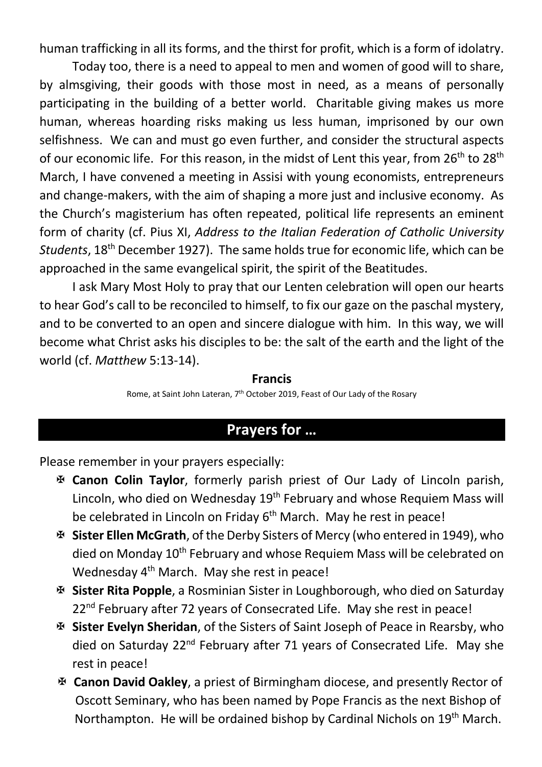human trafficking in all its forms, and the thirst for profit, which is a form of idolatry.

Today too, there is a need to appeal to men and women of good will to share, by almsgiving, their goods with those most in need, as a means of personally participating in the building of a better world. Charitable giving makes us more human, whereas hoarding risks making us less human, imprisoned by our own selfishness. We can and must go even further, and consider the structural aspects of our economic life. For this reason, in the midst of Lent this year, from 26<sup>th</sup> to 28<sup>th</sup> March, I have convened a meeting in Assisi with young economists, entrepreneurs and change-makers, with the aim of shaping a more just and inclusive economy. As the Church's magisterium has often repeated, political life represents an eminent form of charity (cf. Pius XI, *Address to the Italian Federation of Catholic University Students*, 18th December 1927). The same holds true for economic life, which can be approached in the same evangelical spirit, the spirit of the Beatitudes.

I ask Mary Most Holy to pray that our Lenten celebration will open our hearts to hear God's call to be reconciled to himself, to fix our gaze on the paschal mystery, and to be converted to an open and sincere dialogue with him. In this way, we will become what Christ asks his disciples to be: the salt of the earth and the light of the world (cf. *Matthew* 5:13-14).

#### **Francis**

Rome, at Saint John Lateran, 7<sup>th</sup> October 2019, Feast of Our Lady of the Rosary

#### **Prayers for …**

Please remember in your prayers especially:

- X **Canon Colin Taylor**, formerly parish priest of Our Lady of Lincoln parish, Lincoln, who died on Wednesday 19<sup>th</sup> February and whose Requiem Mass will be celebrated in Lincoln on Friday 6<sup>th</sup> March. May he rest in peace!
- X **Sister Ellen McGrath**, of the Derby Sisters of Mercy (who entered in 1949), who died on Monday 10<sup>th</sup> February and whose Requiem Mass will be celebrated on Wednesday 4<sup>th</sup> March. May she rest in peace!
- X **Sister Rita Popple**, a Rosminian Sister in Loughborough, who died on Saturday 22<sup>nd</sup> February after 72 years of Consecrated Life. May she rest in peace!
- X **Sister Evelyn Sheridan**, of the Sisters of Saint Joseph of Peace in Rearsby, who died on Saturday 22<sup>nd</sup> February after 71 years of Consecrated Life. May she rest in peace!
- X **Canon David Oakley**, a priest of Birmingham diocese, and presently Rector of Oscott Seminary, who has been named by Pope Francis as the next Bishop of Northampton. He will be ordained bishop by Cardinal Nichols on 19th March.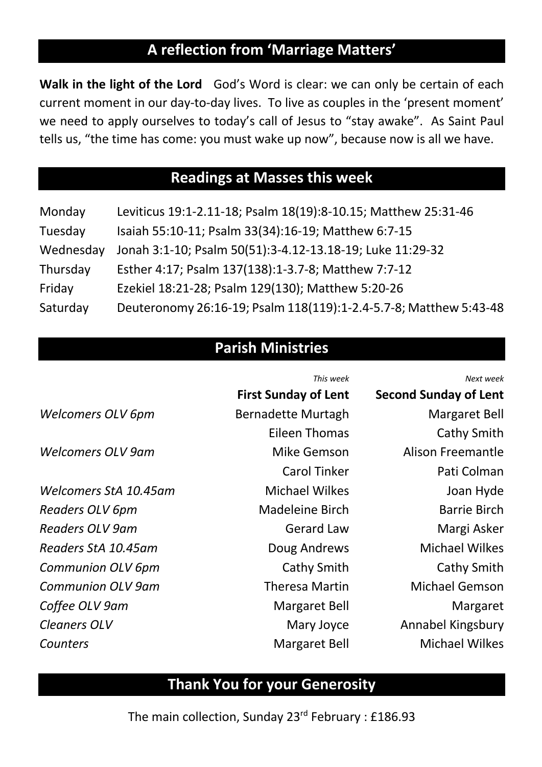# **A reflection from 'Marriage Matters'**

**Walk in the light of the Lord** God's Word is clear: we can only be certain of each current moment in our day-to-day lives. To live as couples in the 'present moment' we need to apply ourselves to today's call of Jesus to "stay awake". As Saint Paul tells us, "the time has come: you must wake up now", because now is all we have.

## **Readings at Masses this week**

| Monday    | Leviticus 19:1-2.11-18; Psalm 18(19):8-10.15; Matthew 25:31-46    |
|-----------|-------------------------------------------------------------------|
| Tuesday   | Isaiah 55:10-11; Psalm 33(34):16-19; Matthew 6:7-15               |
| Wednesday | Jonah 3:1-10; Psalm 50(51):3-4.12-13.18-19; Luke 11:29-32         |
| Thursday  | Esther 4:17; Psalm 137(138):1-3.7-8; Matthew 7:7-12               |
| Friday    | Ezekiel 18:21-28; Psalm 129(130); Matthew 5:20-26                 |
| Saturday  | Deuteronomy 26:16-19; Psalm 118(119):1-2.4-5.7-8; Matthew 5:43-48 |

#### **Parish Ministries**

|                          | This week                   | Next week                    |
|--------------------------|-----------------------------|------------------------------|
|                          | <b>First Sunday of Lent</b> | <b>Second Sunday of Lent</b> |
| Welcomers OLV 6pm        | <b>Bernadette Murtagh</b>   | Margaret Bell                |
|                          | Eileen Thomas               | Cathy Smith                  |
| <b>Welcomers OLV 9am</b> | Mike Gemson                 | Alison Freemantle            |
|                          | <b>Carol Tinker</b>         | Pati Colman                  |
| Welcomers StA 10.45am    | <b>Michael Wilkes</b>       | Joan Hyde                    |
| <b>Readers OLV 6pm</b>   | <b>Madeleine Birch</b>      | <b>Barrie Birch</b>          |
| <b>Readers OLV 9am</b>   | <b>Gerard Law</b>           | Margi Asker                  |
| Readers StA 10.45am      | Doug Andrews                | <b>Michael Wilkes</b>        |
| <b>Communion OLV 6pm</b> | Cathy Smith                 | Cathy Smith                  |
| <b>Communion OLV 9am</b> | <b>Theresa Martin</b>       | <b>Michael Gemson</b>        |
| Coffee OLV 9am           | Margaret Bell               | Margaret                     |
| <b>Cleaners OLV</b>      | Mary Joyce                  | Annabel Kingsbury            |
| Counters                 | Margaret Bell               | <b>Michael Wilkes</b>        |

# **Thank You for your Generosity**

The main collection, Sunday 23rd February : £186.93